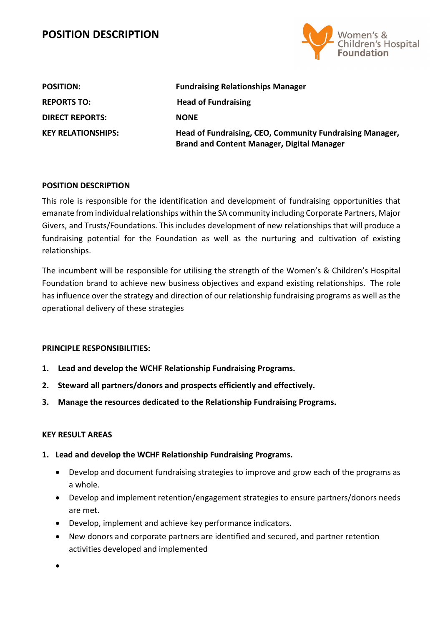

| <b>POSITION:</b>          | <b>Fundraising Relationships Manager</b>                                                                      |
|---------------------------|---------------------------------------------------------------------------------------------------------------|
| <b>REPORTS TO:</b>        | <b>Head of Fundraising</b>                                                                                    |
| <b>DIRECT REPORTS:</b>    | <b>NONE</b>                                                                                                   |
| <b>KEY RELATIONSHIPS:</b> | Head of Fundraising, CEO, Community Fundraising Manager,<br><b>Brand and Content Manager, Digital Manager</b> |

### **POSITION DESCRIPTION**

This role is responsible for the identification and development of fundraising opportunities that emanate from individual relationships within the SA community including Corporate Partners, Major Givers, and Trusts/Foundations. This includes development of new relationships that will produce a fundraising potential for the Foundation as well as the nurturing and cultivation of existing relationships.

The incumbent will be responsible for utilising the strength of the Women's & Children's Hospital Foundation brand to achieve new business objectives and expand existing relationships. The role has influence over the strategy and direction of our relationship fundraising programs as well as the operational delivery of these strategies

### **PRINCIPLE RESPONSIBILITIES:**

- **1. Lead and develop the WCHF Relationship Fundraising Programs.**
- **2. Steward all partners/donors and prospects efficiently and effectively.**
- **3. Manage the resources dedicated to the Relationship Fundraising Programs.**

### **KEY RESULT AREAS**

- **1. Lead and develop the WCHF Relationship Fundraising Programs.**
	- Develop and document fundraising strategies to improve and grow each of the programs as a whole.
	- Develop and implement retention/engagement strategies to ensure partners/donors needs are met.
	- Develop, implement and achieve key performance indicators.
	- New donors and corporate partners are identified and secured, and partner retention activities developed and implemented

•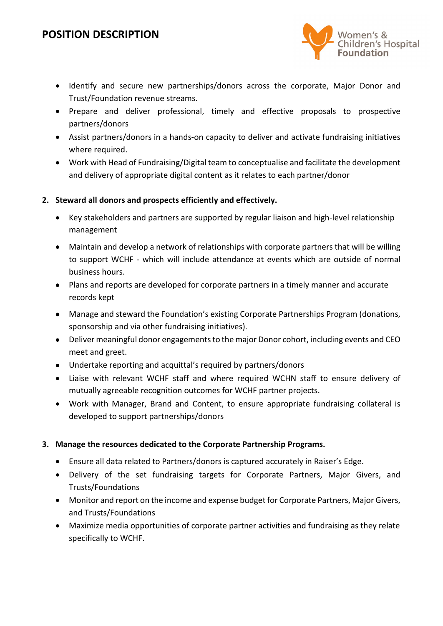

- Identify and secure new partnerships/donors across the corporate, Major Donor and Trust/Foundation revenue streams.
- Prepare and deliver professional, timely and effective proposals to prospective partners/donors
- Assist partners/donors in a hands-on capacity to deliver and activate fundraising initiatives where required.
- Work with Head of Fundraising/Digital team to conceptualise and facilitate the development and delivery of appropriate digital content as it relates to each partner/donor

### **2. Steward all donors and prospects efficiently and effectively.**

- Key stakeholders and partners are supported by regular liaison and high-level relationship management
- Maintain and develop a network of relationships with corporate partners that will be willing to support WCHF - which will include attendance at events which are outside of normal business hours.
- Plans and reports are developed for corporate partners in a timely manner and accurate records kept
- Manage and steward the Foundation's existing Corporate Partnerships Program (donations, sponsorship and via other fundraising initiatives).
- Deliver meaningful donor engagements to the major Donor cohort, including events and CEO meet and greet.
- Undertake reporting and acquittal's required by partners/donors
- Liaise with relevant WCHF staff and where required WCHN staff to ensure delivery of mutually agreeable recognition outcomes for WCHF partner projects.
- Work with Manager, Brand and Content, to ensure appropriate fundraising collateral is developed to support partnerships/donors

## **3. Manage the resources dedicated to the Corporate Partnership Programs.**

- Ensure all data related to Partners/donors is captured accurately in Raiser's Edge.
- Delivery of the set fundraising targets for Corporate Partners, Major Givers, and Trusts/Foundations
- Monitor and report on the income and expense budget for Corporate Partners, Major Givers, and Trusts/Foundations
- Maximize media opportunities of corporate partner activities and fundraising as they relate specifically to WCHF.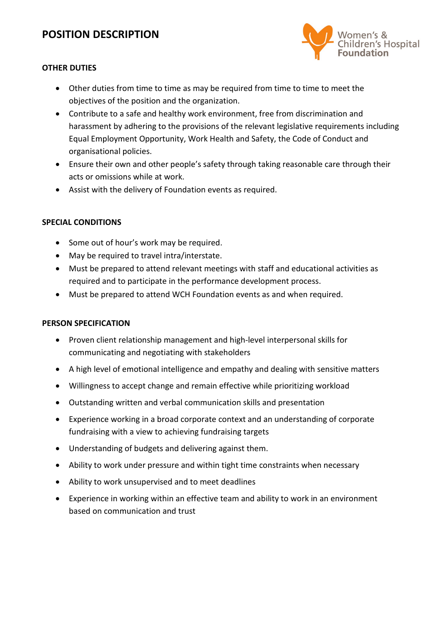

### **OTHER DUTIES**

- Other duties from time to time as may be required from time to time to meet the objectives of the position and the organization.
- Contribute to a safe and healthy work environment, free from discrimination and harassment by adhering to the provisions of the relevant legislative requirements including Equal Employment Opportunity, Work Health and Safety, the Code of Conduct and organisational policies.
- Ensure their own and other people's safety through taking reasonable care through their acts or omissions while at work.
- Assist with the delivery of Foundation events as required.

### **SPECIAL CONDITIONS**

- Some out of hour's work may be required.
- May be required to travel intra/interstate.
- Must be prepared to attend relevant meetings with staff and educational activities as required and to participate in the performance development process.
- Must be prepared to attend WCH Foundation events as and when required.

### **PERSON SPECIFICATION**

- Proven client relationship management and high-level interpersonal skills for communicating and negotiating with stakeholders
- A high level of emotional intelligence and empathy and dealing with sensitive matters
- Willingness to accept change and remain effective while prioritizing workload
- Outstanding written and verbal communication skills and presentation
- Experience working in a broad corporate context and an understanding of corporate fundraising with a view to achieving fundraising targets
- Understanding of budgets and delivering against them.
- Ability to work under pressure and within tight time constraints when necessary
- Ability to work unsupervised and to meet deadlines
- Experience in working within an effective team and ability to work in an environment based on communication and trust